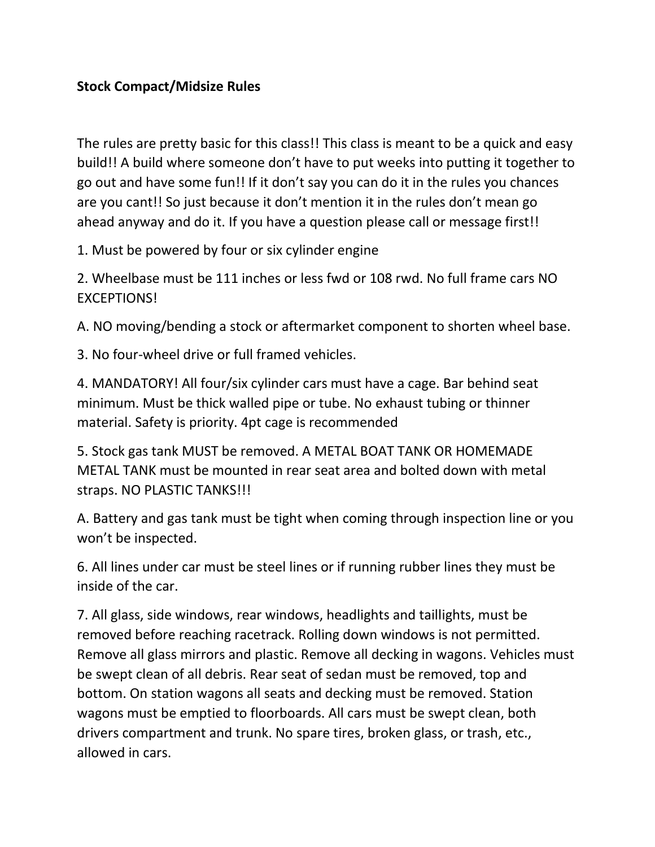## **Stock Compact/Midsize Rules**

The rules are pretty basic for this class!! This class is meant to be a quick and easy build!! A build where someone don't have to put weeks into putting it together to go out and have some fun!! If it don't say you can do it in the rules you chances are you cant!! So just because it don't mention it in the rules don't mean go ahead anyway and do it. If you have a question please call or message first!!

1. Must be powered by four or six cylinder engine

2. Wheelbase must be 111 inches or less fwd or 108 rwd. No full frame cars NO EXCEPTIONS!

A. NO moving/bending a stock or aftermarket component to shorten wheel base.

3. No four-wheel drive or full framed vehicles.

4. MANDATORY! All four/six cylinder cars must have a cage. Bar behind seat minimum. Must be thick walled pipe or tube. No exhaust tubing or thinner material. Safety is priority. 4pt cage is recommended

5. Stock gas tank MUST be removed. A METAL BOAT TANK OR HOMEMADE METAL TANK must be mounted in rear seat area and bolted down with metal straps. NO PLASTIC TANKS!!!

A. Battery and gas tank must be tight when coming through inspection line or you won't be inspected.

6. All lines under car must be steel lines or if running rubber lines they must be inside of the car.

7. All glass, side windows, rear windows, headlights and taillights, must be removed before reaching racetrack. Rolling down windows is not permitted. Remove all glass mirrors and plastic. Remove all decking in wagons. Vehicles must be swept clean of all debris. Rear seat of sedan must be removed, top and bottom. On station wagons all seats and decking must be removed. Station wagons must be emptied to floorboards. All cars must be swept clean, both drivers compartment and trunk. No spare tires, broken glass, or trash, etc., allowed in cars.